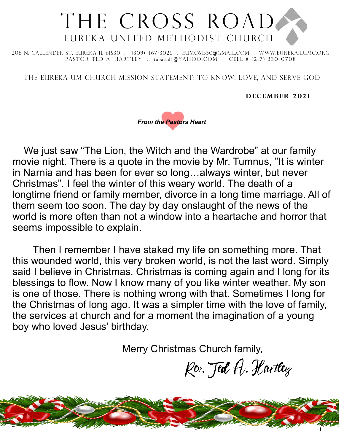# THE CROSS ROAD Eureka United Methodist Church

208 N. Callender St. Eureka IL 61530 . (309) 467-3026 . eumc61530@gmail.com . WWw.eurekailumc.org PASTOR TED A. HARTLEY . tubated1@YAHOO.COM . CELL # (217) 330-0708

The Eureka UM church Mission Statement: To Know, Love, and Serve God

**DECEMBER 2021** 



We just saw "The Lion, the Witch and the Wardrobe" at our family movie night. There is a quote in the movie by Mr. Tumnus, "It is winter in Narnia and has been for ever so long…always winter, but never Christmas". I feel the winter of this weary world. The death of a longtime friend or family member, divorce in a long time marriage. All of them seem too soon. The day by day onslaught of the news of the world is more often than not a window into a heartache and horror that seems impossible to explain.

Then I remember I have staked my life on something more. That this wounded world, this very broken world, is not the last word. Simply said I believe in Christmas. Christmas is coming again and I long for its blessings to flow. Now I know many of you like winter weather. My son is one of those. There is nothing wrong with that. Sometimes I long for the Christmas of long ago. It was a simpler time with the love of family, the services at church and for a moment the imagination of a young boy who loved Jesus' birthday.

Merry Christmas Church family,

Kev. Jed A. Hartley

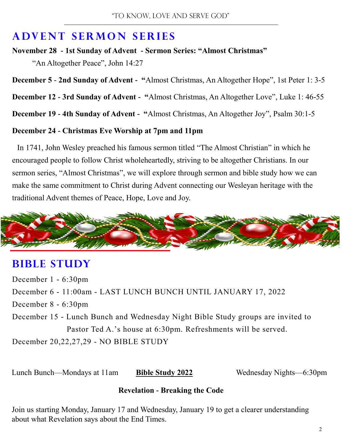#### **ADVENT SERMON SERIES**

**November 28 - 1st Sunday of Advent - Sermon Series: "Almost Christmas"**  "An Altogether Peace", John 14:27

**December 5** - **2nd Sunday of Advent - "**Almost Christmas, An Altogether Hope", 1st Peter 1: 3-5

**December 12 - 3rd Sunday of Advent - "**Almost Christmas, An Altogether Love", Luke 1: 46-55

**December 19 - 4th Sunday of Advent - "**Almost Christmas, An Altogether Joy", Psalm 30:1-5

#### **December 24 - Christmas Eve Worship at 7pm and 11pm**

In 1741, John Wesley preached his famous sermon titled "The Almost Christian" in which he encouraged people to follow Christ wholeheartedly, striving to be altogether Christians. In our sermon series, "Almost Christmas", we will explore through sermon and bible study how we can make the same commitment to Christ during Advent connecting our Wesleyan heritage with the traditional Advent themes of Peace, Hope, Love and Joy.



#### **BIBLE STUDY**

December 1 - 6:30pm December 6 - 11:00am - LAST LUNCH BUNCH UNTIL JANUARY 17, 2022 December 8 - 6:30pm December 15 - Lunch Bunch and Wednesday Night Bible Study groups are invited to Pastor Ted A.'s house at 6:30pm. Refreshments will be served. December 20,22,27,29 - NO BIBLE STUDY

Lunch Bunch—Mondays at 11am **Bible Study 2022** Wednesday Nights—6:30pm

#### **Revelation - Breaking the Code**

Join us starting Monday, January 17 and Wednesday, January 19 to get a clearer understanding about what Revelation says about the End Times.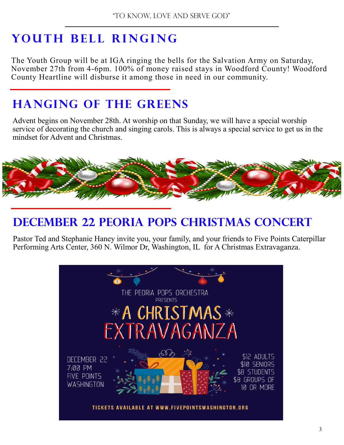# **YOUTH BELL RINGING**

The Youth Group will be at IGA ringing the bells for the Salvation Army on Saturday, November 27th from 4-6pm. 100% of money raised stays in Woodford County! Woodford County Heartline will disburse it among those in need in our community.

#### **Hanging of the Greens**

Advent begins on November 28th. At worship on that Sunday, we will have a special worship service of decorating the church and singing carols. This is always a special service to get us in the mindset for Advent and Christmas.



## **December 22 Peoria Pops Christmas Concert**

Pastor Ted and Stephanie Haney invite you, your family, and your friends to Five Points Caterpillar Performing Arts Center, 360 N. Wilmor Dr, Washington, IL for A Christmas Extravaganza.

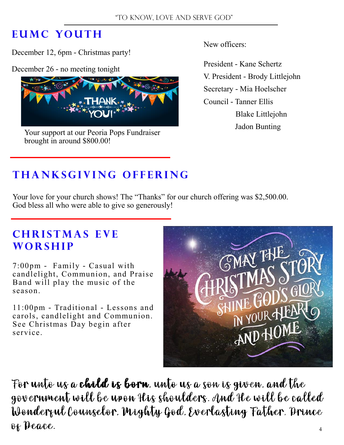#### **EUMC YOUTH**

December 12, 6pm - Christmas party!

December 26 - no meeting tonight



Your support at our Peoria Pops Fundraiser brought in around \$800.00!

New officers:

 President - Kane Schertz V. President - Brody Littlejohn Secretary - Mia Hoelscher Council - Tanner Ellis Blake Littlejohn Jadon Bunting

#### **T h a n k s g i v i n g o f f e r i n g**

Your love for your church shows! The "Thanks" for our church offering was \$2,500.00. God bless all who were able to give so generously!

#### **CHRISTMAS EVE WORSHIP**

7:00pm - Family - Casual with candlelight, Communion, and Praise Band will play the music of the season.

11:00pm - Traditional - Lessons and carols, candlelight and Communion. See Christmas Day begin after service.



For unto us a **child is born**, unto us a son is given, and the government will be upon His shoulders. And He will be called Wonderful Counselor. Mighty God. Everlasting Father. Prince of Peace.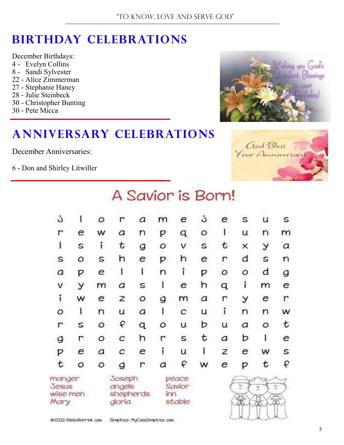## **Birthday Celebrations**

December Birthdays: 4 - Evelyn Collins 8 - Sandi Sylvester 22 - Alice Zimmerman 27 - Stephanie Haney 28 - Julie Steinbeck 30 - Christopher Bunting

30 - Pete Micca

#### **Anniversary Celebrations**

December Anniversaries:

6 - Don and Shirley Litwiller





|  |  | A Savior is Born! |  |
|--|--|-------------------|--|
|  |  |                   |  |

| ن                                          |         | ο                                       |   | а                                | m       | е | ن | е            | s | u        | s |
|--------------------------------------------|---------|-----------------------------------------|---|----------------------------------|---------|---|---|--------------|---|----------|---|
| r                                          | е       | w                                       | a | n                                | P       | q | O |              | u | n        | m |
| I                                          | S       | í                                       | t | g                                | $\circ$ | v | S | t            | × | У        | а |
| S                                          | O       | S                                       | h | е                                | P       | h | е | r            | d | S        | n |
| a                                          | р       | е                                       | ı | ı                                | n       | í | р | Ο            | Ο | d        | g |
| V                                          | У       | m                                       | а | S                                |         | е | h | q            | í | m        | е |
| $\mathbf{i}$                               | w       | е                                       | Z | $\circ$                          | g       | m | а | $\mathsf{r}$ | У | е        | r |
| Ο                                          |         | n                                       | U | a                                | I       | с | u | $\mathbf{i}$ | n | n        | w |
| r                                          | S       | Ο                                       | f | q                                | ο       | u | b | u            | а | Ο        | t |
| g                                          | r       | O                                       | C | h                                | r       | S | t | a            | b |          | е |
| р                                          | е       | а                                       | с | е                                | í       | u | ı | Z            | е | w        | S |
| t                                          | $\circ$ | О                                       | g | r                                | а       | f | w | e            | р | t        | f |
| manger<br><b>Jesus</b><br>wise men<br>Mary |         | Joseph<br>angels<br>shepherds<br>gloria |   | peace<br>Savior<br>inn<br>stable |         |   |   | g,           | ¢ | C.<br>Ì. |   |

/ U / U ( U )